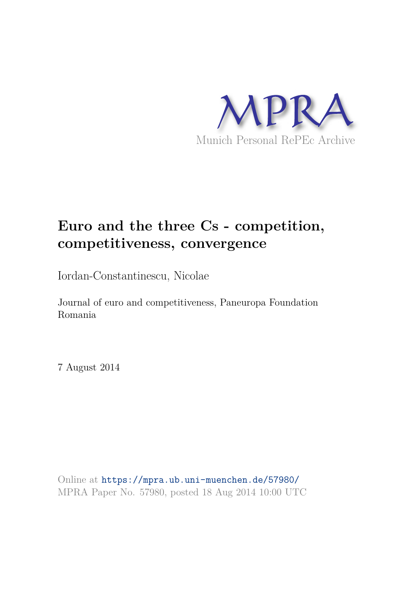

## **Euro and the three Cs - competition, competitiveness, convergence**

Iordan-Constantinescu, Nicolae

Journal of euro and competitiveness, Paneuropa Foundation Romania

7 August 2014

Online at https://mpra.ub.uni-muenchen.de/57980/ MPRA Paper No. 57980, posted 18 Aug 2014 10:00 UTC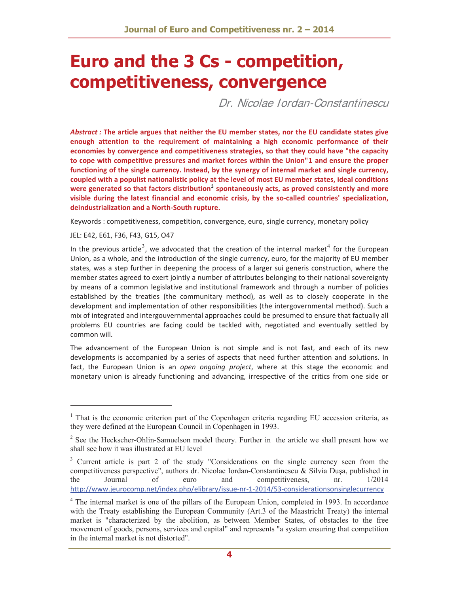# **Euro and the 3 Cs - competition, competitiveness, convergence**

Dr. Nicolae Iordan-Constantinescu

*Abstract :* **The article argues that neither the EU member states, nor the EU candidate states give enough attention to the requirement of maintaining a high economic performance of their economies by convergence and competitiveness strategies, so that they could have "the capacity to cope with competitive pressures and market forces within the Union"1 and ensure the proper functioning of the single currency. Instead, by the synergy of internal market and single currency, coupled with a populist nationalistic policy at the level of most EU member states, ideal conditions were generated so that factors distribution<sup>2</sup> spontaneously acts, as proved consistently and more visible during the latest financial and economic crisis, by the soͲcalled countries' specialization,**  $d$ *deindustrialization* and a North-South rupture.

Keywords : competitiveness, competition, convergence, euro, single currency, monetary policy

#### JEL: E42, E61, F36, F43, G15, O47

In the previous article<sup>3</sup>, we advocated that the creation of the internal market<sup>4</sup> for the European Union, as a whole, and the introduction of the single currency, euro, for the majority of EU member states, was a step further in deepening the process of a larger sui generis construction, where the member states agreed to exert jointly a number of attributes belonging to their national sovereignty by means of a common legislative and institutional framework and through a number of policies established by the treaties (the communitary method), as well as to closely cooperate in the development and implementation of other responsibilities (the intergovernmental method). Such a mix of integrated and intergouvernmental approaches could be presumed to ensure that factually all problems EU countries are facing could be tackled with, negotiated and eventually settled by common will.

The advancement of the European Union is not simple and is not fast, and each of its new developments is accompanied by a series of aspects that need further attention and solutions. In fact, the European Union is an *open ongoing project*, where at this stage the economic and monetary union is already functioning and advancing, irrespective of the critics from one side or

<sup>&</sup>lt;sup>1</sup> That is the economic criterion part of the Copenhagen criteria regarding EU accession criteria, as they were defined at the European Council in Copenhagen in 1993.

 $2^{2}$  See the Heckscher-Ohlin-Samuelson model theory. Further in the article we shall present how we shall see how it was illustrated at EU level

<sup>&</sup>lt;sup>3</sup> Current article is part 2 of the study "Considerations on the single currency seen from the competitiveness perspective", authors dr. Nicolae Iordan-Constantinescu & Silvia Dușa, published in the Journal of euro and competitiveness, nr. 1/2014 http://www.jeurocomp.net/index.php/elibrary/issue-nr-1-2014/53-considerationsonsinglecurrency

<sup>&</sup>lt;sup>4</sup> The internal market is one of the pillars of the European Union, completed in 1993. In accordance with the Treaty establishing the European Community (Art.3 of the Maastricht Treaty) the internal market is "characterized by the abolition, as between Member States, of obstacles to the free movement of goods, persons, services and capital" and represents "a system ensuring that competition in the internal market is not distorted".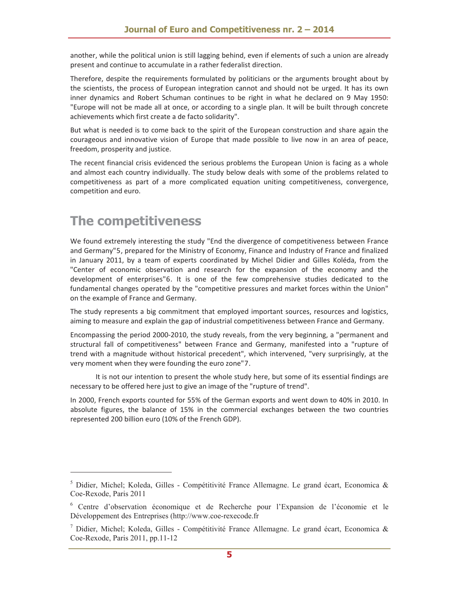another, while the political union is still lagging behind, even if elements of such a union are already present and continue to accumulate in a rather federalist direction.

Therefore, despite the requirements formulated by politicians or the arguments brought about by the scientists, the process of European integration cannot and should not be urged. It has its own inner dynamics and Robert Schuman continues to be right in what he declared on 9 May 1950: "Europe will not be made all at once, or according to a single plan. It will be built through concrete achievements which first create a de facto solidarity".

But what is needed is to come back to the spirit of the European construction and share again the courageous and innovative vision of Europe that made possible to live now in an area of peace, freedom, prosperity and justice.

The recent financial crisis evidenced the serious problems the European Union is facing as a whole and almost each country individually. The study below deals with some of the problems related to competitiveness as part of a more complicated equation uniting competitiveness, convergence, competition and euro.

## **The competitiveness**

We found extremely interesting the study "End the divergence of competitiveness between France and Germany"5, prepared for the Ministry of Economy, Finance and Industry of France and finalized in January 2011, by a team of experts coordinated by Michel Didier and Gilles Koléda, from the "Center of economic observation and research for the expansion of the economy and the development of enterprises"6. It is one of the few comprehensive studies dedicated to the fundamental changes operated by the "competitive pressures and market forces within the Union" on the example of France and Germany.

The study represents a big commitment that employed important sources, resources and logistics, aiming to measure and explain the gap of industrial competitiveness between France and Germany.

Encompassing the period 2000-2010, the study reveals, from the very beginning, a "permanent and structural fall of competitiveness" between France and Germany, manifested into a "rupture of trend with a magnitude without historical precedent", which intervened, "very surprisingly, at the very moment when they were founding the euro zone"7.

It is not our intention to present the whole study here, but some of its essential findings are necessary to be offered here just to give an image of the "rupture of trend".

In 2000, French exports counted for 55% of the German exports and went down to 40% in 2010. In absolute figures, the balance of 15% in the commercial exchanges between the two countries represented 200 billion euro (10% of the French GDP).

<sup>5</sup> Didier, Michel; Koleda, Gilles - Compétitivité France Allemagne. Le grand écart, Economica & Coe-Rexode, Paris 2011

<sup>6</sup> Centre d'observation économique et de Recherche pour l'Expansion de l'économie et le Développement des Entreprises (http://www.coe-rexecode.fr

<sup>7</sup> Didier, Michel; Koleda, Gilles - Compétitivité France Allemagne. Le grand écart, Economica & Coe-Rexode, Paris 2011, pp.11-12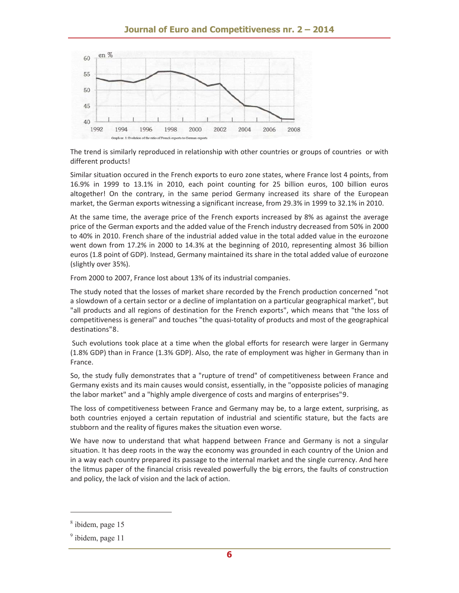

The trend is similarly reproduced in relationship with other countries or groups of countries or with different products!

Similar situation occured in the French exports to euro zone states, where France lost 4 points, from 16.9% in 1999 to 13.1% in 2010, each point counting for 25 billion euros, 100 billion euros altogether! On the contrary, in the same period Germany increased its share of the European market, the German exports witnessing a significant increase, from 29.3% in 1999 to 32.1% in 2010.

At the same time, the average price of the French exports increased by 8% as against the average price of the German exports and the added value of the French industry decreased from 50% in 2000 to 40% in 2010. French share of the industrial added value in the total added value in the eurozone went down from 17.2% in 2000 to 14.3% at the beginning of 2010, representing almost 36 billion euros (1.8 point of GDP). Instead, Germany maintained its share in the total added value of eurozone (slightly over 35%).

From 2000 to 2007, France lost about 13% of its industrial companies.

The study noted that the losses of market share recorded by the French production concerned "not a slowdown of a certain sector or a decline of implantation on a particular geographical market", but "all products and all regions of destination for the French exports", which means that "the loss of competitiveness is general" and touches "the quasi-totality of products and most of the geographical destinations"8.

Such evolutions took place at a time when the global efforts for research were larger in Germany (1.8% GDP) than in France (1.3% GDP). Also, the rate of employment was higher in Germany than in France.

So, the study fully demonstrates that a "rupture of trend" of competitiveness between France and Germany exists and its main causes would consist, essentially, in the "opposiste policies of managing the labor market" and a "highly ample divergence of costs and margins of enterprises"9.

The loss of competitiveness between France and Germany may be, to a large extent, surprising, as both countries enjoyed a certain reputation of industrial and scientific stature, but the facts are stubborn and the reality of figures makes the situation even worse.

We have now to understand that what happend between France and Germany is not a singular situation. It has deep roots in the way the economy was grounded in each country of the Union and in a way each country prepared its passage to the internal market and the single currency. And here the litmus paper of the financial crisis revealed powerfully the big errors, the faults of construction and policy, the lack of vision and the lack of action.

<sup>8</sup> ibidem, page 15

<sup>&</sup>lt;sup>9</sup> ibidem, page 11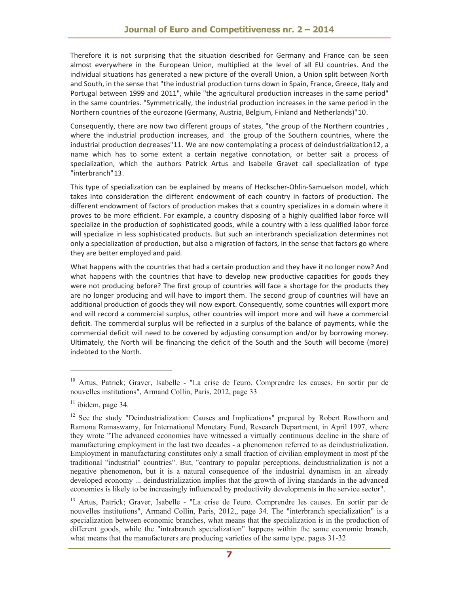Therefore it is not surprising that the situation described for Germany and France can be seen almost everywhere in the European Union, multiplied at the level of all EU countries. And the individual situations has generated a new picture of the overall Union, a Union split between North and South, in the sense that "the industrial production turns down in Spain, France, Greece, Italy and Portugal between 1999 and 2011", while "the agricultural production increases in the same period" in the same countries. "Symmetrically, the industrial production increases in the same period in the Northern countries of the eurozone (Germany, Austria, Belgium, Finland and Netherlands)"10.

Consequently, there are now two different groups of states, "the group of the Northern countries , where the industrial production increases, and the group of the Southern countries, where the industrial production decreases"11. We are now contemplating a process of deindustrialization12, a name which has to some extent a certain negative connotation, or better sait a process of specialization, which the authors Patrick Artus and Isabelle Gravet call specialization of type "interbranch"13.

This type of specialization can be explained by means of Heckscher-Ohlin-Samuelson model, which takes into consideration the different endowment of each country in factors of production. The different endowment of factors of production makes that a country specializes in a domain where it proves to be more efficient. For example, a country disposing of a highly qualified labor force will specialize in the production of sophisticated goods, while a country with a less qualified labor force will specialize in less sophisticated products. But such an interbranch specialization determines not only a specialization of production, but also a migration of factors, in the sense that factors go where they are better employed and paid.

What happens with the countries that had a certain production and they have it no longer now? And what happens with the countries that have to develop new productive capacities for goods they were not producing before? The first group of countries will face a shortage for the products they are no longer producing and will have to import them. The second group of countries will have an additional production of goods they will now export. Consequently, some countries will export more and will record a commercial surplus, other countries will import more and will have a commercial deficit. The commercial surplus will be reflected in a surplus of the balance of payments, while the commercial deficit will need to be covered by adjusting consumption and/or by borrowing money. Ultimately, the North will be financing the deficit of the South and the South will become (more) indebted to the North.

<sup>&</sup>lt;sup>10</sup> Artus, Patrick; Graver, Isabelle - "La crise de l'euro. Comprendre les causes. En sortir par de nouvelles institutions", Armand Collin, Paris, 2012, page 33

 $11$  ibidem, page 34.

<sup>&</sup>lt;sup>12</sup> See the study "Deindustrialization: Causes and Implications" prepared by Robert Rowthorn and Ramona Ramaswamy, for International Monetary Fund, Research Department, in April 1997, where they wrote "The advanced economies have witnessed a virtually continuous decline in the share of manufacturing employment in the last two decades - a phenomenon referred to as deindustrialization. Employment in manufacturing constitutes only a small fraction of civilian employment in most pf the traditional "industrial" countries". But, "contrary to popular perceptions, deindustrialization is not a negative phenomenon, but it is a natural consequence of the industrial dynamism in an already developed economy ... deindustrialization implies that the growth of living standards in the advanced economies is likely to be increasingly influenced by productivity developments in the service sector".

<sup>&</sup>lt;sup>13</sup> Artus, Patrick; Graver, Isabelle - "La crise de l'euro. Comprendre les causes. En sortir par de nouvelles institutions", Armand Collin, Paris, 2012,, page 34. The "interbranch specialization" is a specialization between economic branches, what means that the specialization is in the production of different goods, while the "intrabranch specialization" happens within the same economic branch, what means that the manufacturers are producing varieties of the same type. pages 31-32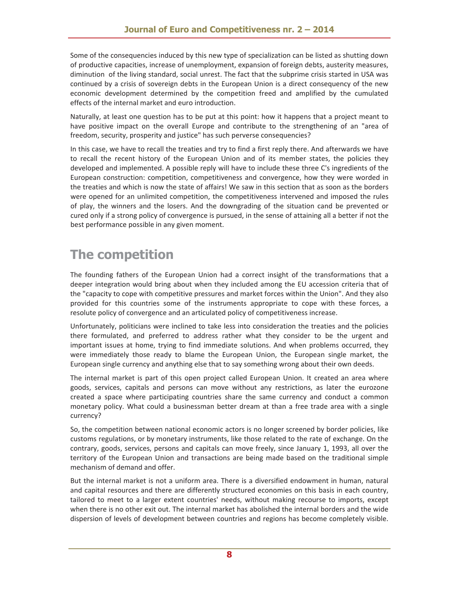Some of the consequencies induced by this new type of specialization can be listed as shutting down of productive capacities, increase of unemployment, expansion of foreign debts, austerity measures, diminution of the living standard, social unrest. The fact that the subprime crisis started in USA was continued by a crisis of sovereign debts in the European Union is a direct consequency of the new economic development determined by the competition freed and amplified by the cumulated effects of the internal market and euro introduction.

Naturally, at least one question has to be put at this point: how it happens that a project meant to have positive impact on the overall Europe and contribute to the strengthening of an "area of freedom, security, prosperity and justice" has such perverse consequencies?

In this case, we have to recall the treaties and try to find a first reply there. And afterwards we have to recall the recent history of the European Union and of its member states, the policies they developed and implemented. A possible reply will have to include these three C's ingredients of the European construction: competition, competitiveness and convergence, how they were worded in the treaties and which is now the state of affairs! We saw in this section that as soon as the borders were opened for an unlimited competition, the competitiveness intervened and imposed the rules of play, the winners and the losers. And the downgrading of the situation cand be prevented or cured only if a strong policy of convergence is pursued, in the sense of attaining all a better if not the best performance possible in any given moment.

## **The competition**

The founding fathers of the European Union had a correct insight of the transformations that a deeper integration would bring about when they included among the EU accession criteria that of the "capacity to cope with competitive pressures and market forces within the Union". And they also provided for this countries some of the instruments appropriate to cope with these forces, a resolute policy of convergence and an articulated policy of competitiveness increase.

Unfortunately, politicians were inclined to take less into consideration the treaties and the policies there formulated, and preferred to address rather what they consider to be the urgent and important issues at home, trying to find immediate solutions. And when problems occurred, they were immediately those ready to blame the European Union, the European single market, the European single currency and anything else that to say something wrong about their own deeds.

The internal market is part of this open project called European Union. It created an area where goods, services, capitals and persons can move without any restrictions, as later the eurozone created a space where participating countries share the same currency and conduct a common monetary policy. What could a businessman better dream at than a free trade area with a single currency?

So, the competition between national economic actors is no longer screened by border policies, like customs regulations, or by monetary instruments, like those related to the rate of exchange. On the contrary, goods, services, persons and capitals can move freely, since January 1, 1993, all over the territory of the European Union and transactions are being made based on the traditional simple mechanism of demand and offer.

But the internal market is not a uniform area. There is a diversified endowment in human, natural and capital resources and there are differently structured economies on this basis in each country, tailored to meet to a larger extent countries' needs, without making recourse to imports, except when there is no other exit out. The internal market has abolished the internal borders and the wide dispersion of levels of development between countries and regions has become completely visible.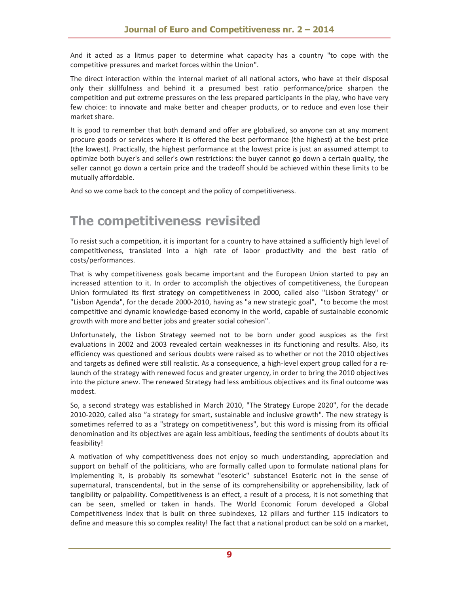And it acted as a litmus paper to determine what capacity has a country "to cope with the competitive pressures and market forces within the Union".

The direct interaction within the internal market of all national actors, who have at their disposal only their skillfulness and behind it a presumed best ratio performance/price sharpen the competition and put extreme pressures on the less prepared participants in the play, who have very few choice: to innovate and make better and cheaper products, or to reduce and even lose their market share.

It is good to remember that both demand and offer are globalized, so anyone can at any moment procure goods or services where it is offered the best performance (the highest) at the best price (the lowest). Practically, the highest performance at the lowest price is just an assumed attempt to optimize both buyer's and seller's own restrictions: the buyer cannot go down a certain quality, the seller cannot go down a certain price and the tradeoff should be achieved within these limits to be mutually affordable.

And so we come back to the concept and the policy of competitiveness.

## **The competitiveness revisited**

To resist such a competition, it is important for a country to have attained a sufficiently high level of competitiveness, translated into a high rate of labor productivity and the best ratio of costs/performances.

That is why competitiveness goals became important and the European Union started to pay an increased attention to it. In order to accomplish the objectives of competitiveness, the European Union formulated its first strategy on competitiveness in 2000, called also "Lisbon Strategy" or "Lisbon Agenda", for the decade 2000-2010, having as "a new strategic goal", "to become the most competitive and dynamic knowledge-based economy in the world, capable of sustainable economic growth with more and better jobs and greater social cohesion".

Unfortunately, the Lisbon Strategy seemed not to be born under good auspices as the first evaluations in 2002 and 2003 revealed certain weaknesses in its functioning and results. Also, its efficiency was questioned and serious doubts were raised as to whether or not the 2010 objectives and targets as defined were still realistic. As a consequence, a high-level expert group called for a relaunch of the strategy with renewed focus and greater urgency, in order to bring the 2010 objectives into the picture anew. The renewed Strategy had less ambitious objectives and its final outcome was modest.

So, a second strategy was established in March 2010, "The Strategy Europe 2020", for the decade 2010-2020, called also "a strategy for smart, sustainable and inclusive growth". The new strategy is sometimes referred to as a "strategy on competitiveness", but this word is missing from its official denomination and its objectives are again less ambitious, feeding the sentiments of doubts about its feasibility!

A motivation of why competitiveness does not enjoy so much understanding, appreciation and support on behalf of the politicians, who are formally called upon to formulate national plans for implementing it, is probably its somewhat "esoteric" substance! Esoteric not in the sense of supernatural, transcendental, but in the sense of its comprehensibility or apprehensibility, lack of tangibility or palpability. Competitiveness is an effect, a result of a process, it is not something that can be seen, smelled or taken in hands. The World Economic Forum developed a Global Competitiveness Index that is built on three subindexes, 12 pillars and further 115 indicators to define and measure this so complex reality! The fact that a national product can be sold on a market,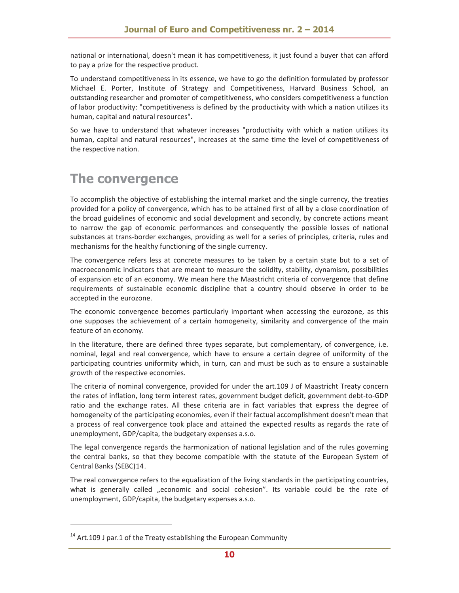national or international, doesn't mean it has competitiveness, it just found a buyer that can afford to pay a prize for the respective product.

To understand competitiveness in its essence, we have to go the definition formulated by professor Michael E. Porter, Institute of Strategy and Competitiveness, Harvard Business School, an outstanding researcher and promoter of competitiveness, who considers competitiveness a function of labor productivity: "competitiveness is defined by the productivity with which a nation utilizes its human, capital and natural resources".

So we have to understand that whatever increases "productivity with which a nation utilizes its human, capital and natural resources", increases at the same time the level of competitiveness of the respective nation.

## **The convergence**

To accomplish the objective of establishing the internal market and the single currency, the treaties provided for a policy of convergence, which has to be attained first of all by a close coordination of the broad guidelines of economic and social development and secondly, by concrete actions meant to narrow the gap of economic performances and consequently the possible losses of national substances at trans-border exchanges, providing as well for a series of principles, criteria, rules and mechanisms for the healthy functioning of the single currency.

The convergence refers less at concrete measures to be taken by a certain state but to a set of macroeconomic indicators that are meant to measure the solidity, stability, dynamism, possibilities of expansion etc of an economy. We mean here the Maastricht criteria of convergence that define requirements of sustainable economic discipline that a country should observe in order to be accepted in the eurozone.

The economic convergence becomes particularly important when accessing the eurozone, as this one supposes the achievement of a certain homogeneity, similarity and convergence of the main feature of an economy.

In the literature, there are defined three types separate, but complementary, of convergence, i.e. nominal, legal and real convergence, which have to ensure a certain degree of uniformity of the participating countries uniformity which, in turn, can and must be such as to ensure a sustainable growth of the respective economies.

The criteria of nominal convergence, provided for under the art.109 J of Maastricht Treaty concern the rates of inflation, long term interest rates, government budget deficit, government debt-to-GDP ratio and the exchange rates. All these criteria are in fact variables that express the degree of homogeneity of the participating economies, even if their factual accomplishment doesn't mean that a process of real convergence took place and attained the expected results as regards the rate of unemployment, GDP/capita, the budgetary expenses a.s.o.

The legal convergence regards the harmonization of national legislation and of the rules governing the central banks, so that they become compatible with the statute of the European System of Central Banks (SEBC)14.

The real convergence refers to the equalization of the living standards in the participating countries, what is generally called "economic and social cohesion". Its variable could be the rate of unemployment, GDP/capita, the budgetary expenses a.s.o.

 $14$  Art.109 J par.1 of the Treaty establishing the European Community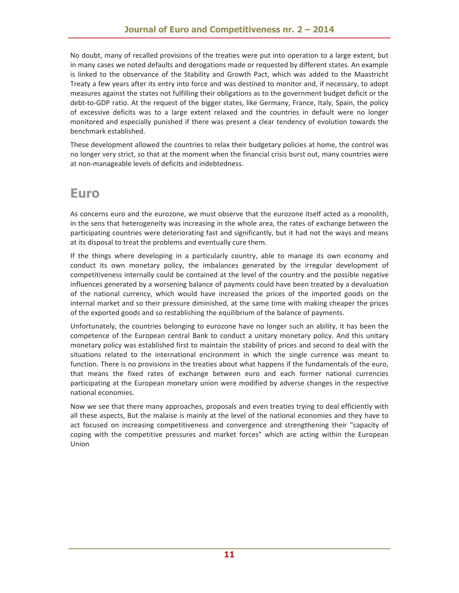No doubt, many of recalled provisions of the treaties were put into operation to a large extent, but in many cases we noted defaults and derogations made or requested by different states. An example is linked to the observance of the Stability and Growth Pact, which was added to the Maastricht Treaty a few years after its entry into force and was destined to monitor and, if necessary, to adopt measures against the states not fulfilling their obligations as to the government budget deficit or the debt-to-GDP ratio. At the request of the bigger states, like Germany, France, Italy, Spain, the policy of excessive deficits was to a large extent relaxed and the countries in default were no longer monitored and especially punished if there was present a clear tendency of evolution towards the benchmark established.

These development allowed the countries to relax their budgetary policies at home, the control was no longer very strict, so that at the moment when the financial crisis burst out, many countries were at non-manageable levels of deficits and indebtedness.

### **Euro**

As concerns euro and the eurozone, we must observe that the eurozone itself acted as a monolith, in the sens that heterogeneity was increasing in the whole area, the rates of exchange between the participating countries were deteriorating fast and significantly, but it had not the ways and means at its disposal to treat the problems and eventually cure them.

If the things where developing in a particularly country, able to manage its own economy and conduct its own monetary policy, the imbalances generated by the irregular development of competitiveness internally could be contained at the level of the country and the possible negative influences generated by a worsening balance of payments could have been treated by a devaluation of the national currency, which would have increased the prices of the imported goods on the internal market and so their pressure diminished, at the same time with making cheaper the prices of the exported goods and so restablishing the equilibrium of the balance of payments.

Unfortunately, the countries belonging to eurozone have no longer such an ability, it has been the competence of the European central Bank to conduct a unitary monetary policy. And this unitary monetary policy was established first to maintain the stability of prices and second to deal with the situations related to the international encironment in which the single currence was meant to function. There is no provisions in the treaties about what happens if the fundamentals of the euro, that means the fixed rates of exchange between euro and each former national currencies participating at the European monetary union were modified by adverse changes in the respective national economies.

Now we see that there many approaches, proposals and even treaties trying to deal efficiently with all these aspects, But the malaise is mainly at the level of the national economies and they have to act focused on increasing competitiveness and convergence and strengthening their "capacity of coping with the competitive pressures and market forces" which are acting within the European Union